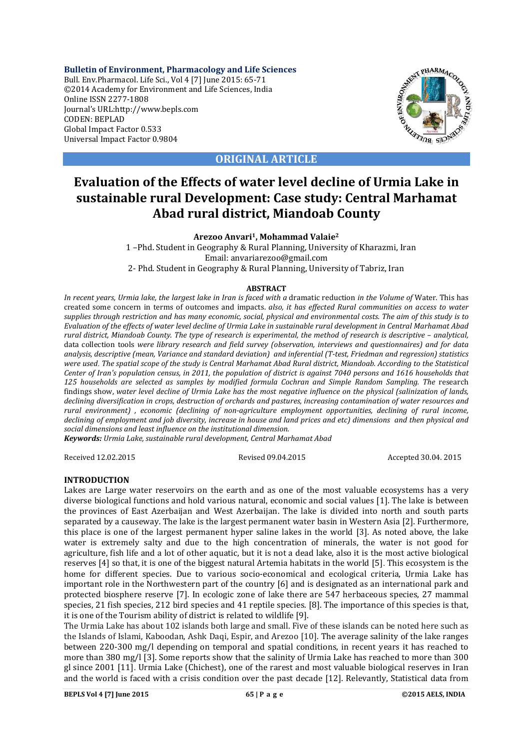**Bulletin of Environment, Pharmacology and Life Sciences** Bull. Env.Pharmacol. Life Sci., Vol 4 [7] June 2015: 65-71 ©2014 Academy for Environment and Life Sciences, India Online ISSN 2277-1808 Journal's URL:http://www.bepls.com CODEN: BEPLAD Global Impact Factor 0.533 Universal Impact Factor 0.9804



## **ORIGINAL ARTICLE**

# **Evaluation of the Effects of water level decline of Urmia Lake in sustainable rural Development: Case study: Central Marhamat Abad rural district, Miandoab County**

## **Arezoo Anvari1, Mohammad Valaie2**

 1 –Phd. Student in Geography & Rural Planning, University of Kharazmi, Iran Email: anvariarezoo@gmail.com 2- Phd. Student in Geography & Rural Planning, University of Tabriz, Iran

## **ABSTRACT**

*In recent years, Urmia lake, the largest lake in Iran is faced with a* dramatic reduction *in the Volume of* Water. This has created some concern in terms of outcomes and impacts. *also, it has effected Rural communities on access to water supplies through restriction and has many economic, social, physical and environmental costs. The aim of this study is to Evaluation of the effects of water level decline of Urmia Lake in sustainable rural development in Central Marhamat Abad rural district, Miandoab County. The type of research is experimental, the method of research is descriptive – analytical,* data collection tools *were library research and field survey (observation, interviews and questionnaires) and for data analysis, descriptive (mean, Variance and standard deviation) and inferential (T-test, Friedman and regression) statistics were used*. *The spatial scope of the study is Central Marhamat Abad Rural district, Miandoab. According to the Statistical Center of Iran's population census, in 2011, the population of district is against 7040 persons and 1616 households that 125 households are selected as samples by modified formula Cochran and Simple Random Sampling. The* research findings show, *water level decline of Urmia Lake has the most negative influence on the physical (salinization of lands, declining diversification in crops, destruction of orchards and pastures, increasing contamination of water resources and rural environment) , economic (declining of non-agriculture employment opportunities, declining of rural income, declining of employment and job diversity, increase in house and land prices and etc) dimensions and then physical and social dimensions and least influence on the institutional dimension.*

*Keywords: Urmia Lake, sustainable rural development, Central Marhamat Abad*

Received 12.02.2015 Revised 09.04.2015 Accepted 30.04. 2015

## **INTRODUCTION**

Lakes are Large water reservoirs on the earth and as one of the most valuable ecosystems has a very diverse biological functions and hold various natural, economic and social values [1]. The lake is between the provinces of East Azerbaijan and West Azerbaijan. The lake is divided into north and south parts separated by a causeway. The lake is the largest permanent water basin in Western Asia [2]. Furthermore, this place is one of the largest permanent hyper saline lakes in the world [3]. As noted above, the lake water is extremely salty and due to the high concentration of minerals, the water is not good for agriculture, fish life and a lot of other aquatic, but it is not a dead lake, also it is the most active biological reserves [4] so that, it is one of the biggest natural Artemia habitats in the world [5]. This ecosystem is the home for different species. Due to various socio-economical and ecological criteria, Urmia Lake has important role in the Northwestern part of the country [6] and is designated as an international park and protected biosphere reserve [7]. In ecologic zone of lake there are 547 herbaceous species, 27 mammal species, 21 fish species, 212 bird species and 41 reptile species. [8]. The importance of this species is that, it is one of the Tourism ability of district is related to wildlife [9].

The Urmia Lake has about 102 islands both large and small. Five of these islands can be noted here such as the Islands of Islami, Kaboodan, Ashk Daqi, Espir, and Arezoo [10]. The average salinity of the lake ranges between 220-300 mg/l depending on temporal and spatial conditions, in recent years it has reached to more than 380 mg/l [3]. Some reports show that the salinity of Urmia Lake has reached to more than 300 gl since 2001 [11]. Urmia Lake (Chichest), one of the rarest and most valuable biological reserves in Iran and the world is faced with a crisis condition over the past decade [12]. Relevantly, Statistical data from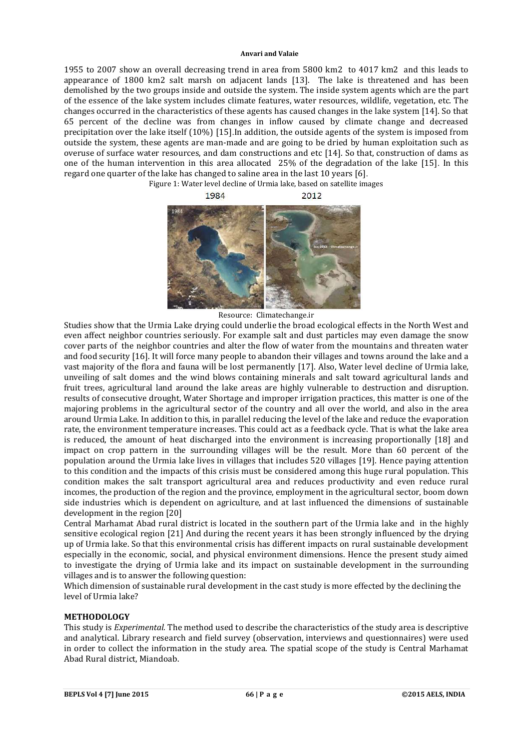1955 to 2007 show an overall decreasing trend in area from 5800 km2 to 4017 km2 and this leads to appearance of 1800 km2 salt marsh on adjacent lands [13]. The lake is threatened and has been demolished by the two groups inside and outside the system. The inside system agents which are the part of the essence of the lake system includes climate features, water resources, wildlife, vegetation, etc. The changes occurred in the characteristics of these agents has caused changes in the lake system [14]. So that 65 percent of the decline was from changes in inflow caused by climate change and decreased precipitation over the lake itself (10%) [15].In addition, the outside agents of the system is imposed from outside the system, these agents are man-made and are going to be dried by human exploitation such as overuse of surface water resources, and dam constructions and etc [14]. So that, construction of dams as one of the human intervention in this area allocated 25% of the degradation of the lake [15]. In this regard one quarter of the lake has changed to saline area in the last 10 years [6].



Resource: Climatechange.ir

Studies show that the Urmia Lake drying could underlie the broad ecological effects in the North West and even affect neighbor countries seriously. For example salt and dust particles may even damage the snow cover parts of the neighbor countries and alter the flow of water from the mountains and threaten water and food security [16]. It will force many people to abandon their villages and towns around the lake and a vast majority of the flora and fauna will be lost permanently [17]. Also, Water level decline of Urmia lake, unveiling of salt domes and the wind blows containing minerals and salt toward agricultural lands and fruit trees, agricultural land around the lake areas are highly vulnerable to destruction and disruption. results of consecutive drought, Water Shortage and improper irrigation practices, this matter is one of the majoring problems in the agricultural sector of the country and all over the world, and also in the area around Urmia Lake. In addition to this, in parallel reducing the level of the lake and reduce the evaporation rate, the environment temperature increases. This could act as a feedback cycle. That is what the lake area is reduced, the amount of heat discharged into the environment is increasing proportionally [18] and impact on crop pattern in the surrounding villages will be the result. More than 60 percent of the population around the Urmia lake lives in villages that includes 520 villages [19]. Hence paying attention to this condition and the impacts of this crisis must be considered among this huge rural population. This condition makes the salt transport agricultural area and reduces productivity and even reduce rural incomes, the production of the region and the province, employment in the agricultural sector, boom down side industries which is dependent on agriculture, and at last influenced the dimensions of sustainable development in the region [20]

Central Marhamat Abad rural district is located in the southern part of the Urmia lake and in the highly sensitive ecological region [21] And during the recent years it has been strongly influenced by the drying up of Urmia lake. So that this environmental crisis has different impacts on rural sustainable development especially in the economic, social, and physical environment dimensions. Hence the present study aimed to investigate the drying of Urmia lake and its impact on sustainable development in the surrounding villages and is to answer the following question:

Which dimension of sustainable rural development in the cast study is more effected by the declining the level of Urmia lake?

## **METHODOLOGY**

This study is *Experimental.* The method used to describe the characteristics of the study area is descriptive and analytical. Library research and field survey (observation, interviews and questionnaires) were used in order to collect the information in the study area. The spatial scope of the study is Central Marhamat Abad Rural district, Miandoab.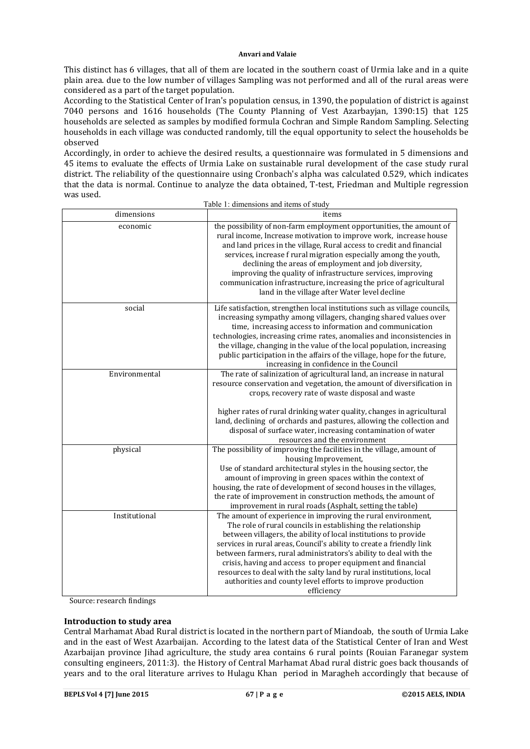This distinct has 6 villages, that all of them are located in the southern coast of Urmia lake and in a quite plain area. due to the low number of villages Sampling was not performed and all of the rural areas were considered as a part of the target population.

According to the Statistical Center of Iran's population census, in 1390, the population of district is against 7040 persons and 1616 households (The County Planning of Vest Azarbayjan, 1390:15) that 125 households are selected as samples by modified formula Cochran and Simple Random Sampling. Selecting households in each village was conducted randomly, till the equal opportunity to select the households be observed

Accordingly, in order to achieve the desired results, a questionnaire was formulated in 5 dimensions and 45 items to evaluate the effects of Urmia Lake on sustainable rural development of the case study rural district. The reliability of the questionnaire using Cronbach's alpha was calculated 0.529, which indicates that the data is normal. Continue to analyze the data obtained, T-test, Friedman and Multiple regression was used.  $T = 11.4 \pm 11.4 \pm 1.4$ 

|               | Table 1: dimensions and items of study                                                                                                                                                                                                                                                                                                                                                                                                                                                                                                                      |
|---------------|-------------------------------------------------------------------------------------------------------------------------------------------------------------------------------------------------------------------------------------------------------------------------------------------------------------------------------------------------------------------------------------------------------------------------------------------------------------------------------------------------------------------------------------------------------------|
| dimensions    | items                                                                                                                                                                                                                                                                                                                                                                                                                                                                                                                                                       |
| economic      | the possibility of non-farm employment opportunities, the amount of<br>rural income, Increase motivation to improve work, increase house<br>and land prices in the village, Rural access to credit and financial<br>services, increase f rural migration especially among the youth,<br>declining the areas of employment and job diversity,<br>improving the quality of infrastructure services, improving<br>communication infrastructure, increasing the price of agricultural<br>land in the village after Water level decline                          |
| social        | Life satisfaction, strengthen local institutions such as village councils,<br>increasing sympathy among villagers, changing shared values over<br>time, increasing access to information and communication<br>technologies, increasing crime rates, anomalies and inconsistencies in<br>the village, changing in the value of the local population, increasing<br>public participation in the affairs of the village, hope for the future,<br>increasing in confidence in the Council                                                                       |
| Environmental | The rate of salinization of agricultural land, an increase in natural<br>resource conservation and vegetation, the amount of diversification in<br>crops, recovery rate of waste disposal and waste<br>higher rates of rural drinking water quality, changes in agricultural<br>land, declining of orchards and pastures, allowing the collection and<br>disposal of surface water, increasing contamination of water<br>resources and the environment                                                                                                      |
| physical      | The possibility of improving the facilities in the village, amount of<br>housing Improvement,<br>Use of standard architectural styles in the housing sector, the<br>amount of improving in green spaces within the context of<br>housing, the rate of development of second houses in the villages,<br>the rate of improvement in construction methods, the amount of<br>improvement in rural roads (Asphalt, setting the table)                                                                                                                            |
| Institutional | The amount of experience in improving the rural environment,<br>The role of rural councils in establishing the relationship<br>between villagers, the ability of local institutions to provide<br>services in rural areas, Council's ability to create a friendly link<br>between farmers, rural administrators's ability to deal with the<br>crisis, having and access to proper equipment and financial<br>resources to deal with the salty land by rural institutions, local<br>authorities and county level efforts to improve production<br>efficiency |

Source: research findings

## **Introduction to study area**

Central Marhamat Abad Rural district is located in the northern part of Miandoab, the south of Urmia Lake and in the east of West Azarbaijan. According to the latest data of the Statistical Center of Iran and West Azarbaijan province Jihad agriculture, the study area contains 6 rural points (Rouian Faranegar system consulting engineers, 2011:3). the History of Central Marhamat Abad rural distric goes back thousands of years and to the oral literature arrives to Hulagu Khan period in Maragheh accordingly that because of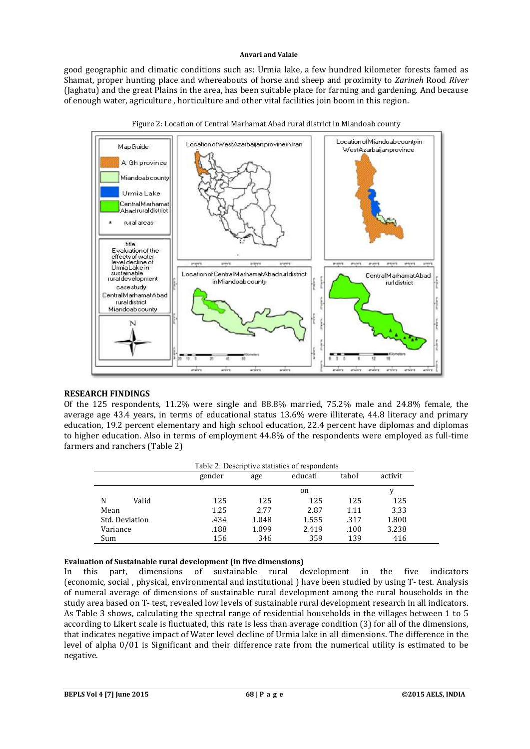good geographic and climatic conditions such as: Urmia lake, a few hundred kilometer forests famed as Shamat, proper hunting place and whereabouts of horse and sheep and proximity to *Zarineh* Rood *River* (Jaghatu) and the great Plains in the area, has been suitable place for farming and gardening. And because of enough water, agriculture , horticulture and other vital facilities join boom in this region.



Figure 2: Location of Central Marhamat Abad rural district in Miandoab county

## **RESEARCH FINDINGS**

Of the 125 respondents, 11.2% were single and 88.8% married, 75.2% male and 24.8% female, the average age 43.4 years, in terms of educational status 13.6% were illiterate, 44.8 literacy and primary education, 19.2 percent elementary and high school education, 22.4 percent have diplomas and diplomas to higher education. Also in terms of employment 44.8% of the respondents were employed as full-time farmers and ranchers (Table 2)

|                | Table 2: Descriptive statistics of respondents |       |         |       |         |
|----------------|------------------------------------------------|-------|---------|-------|---------|
|                | gender                                         | age   | educati | tahol | activit |
|                |                                                |       | on      |       | v       |
| N<br>Valid     | 125                                            | 125   | 125     | 125   | 125     |
| Mean           | 1.25                                           | 2.77  | 2.87    | 1.11  | 3.33    |
| Std. Deviation | .434                                           | 1.048 | 1.555   | .317  | 1.800   |
| Variance       | .188                                           | 1.099 | 2.419   | .100  | 3.238   |
| Sum            | 156                                            | 346   | 359     | 139   | 416     |

#### **Evaluation of Sustainable rural development (in five dimensions)**

In this part, dimensions of sustainable rural development in the five indicators (economic, social , physical, environmental and institutional ) have been studied by using T- test. Analysis of numeral average of dimensions of sustainable rural development among the rural households in the study area based on T- test, revealed low levels of sustainable rural development research in all indicators. As Table 3 shows, calculating the spectral range of residential households in the villages between 1 to 5 according to Likert scale is fluctuated, this rate is less than average condition (3) for all of the dimensions, that indicates negative impact of Water level decline of Urmia lake in all dimensions. The difference in the level of alpha 0/01 is Significant and their difference rate from the numerical utility is estimated to be negative.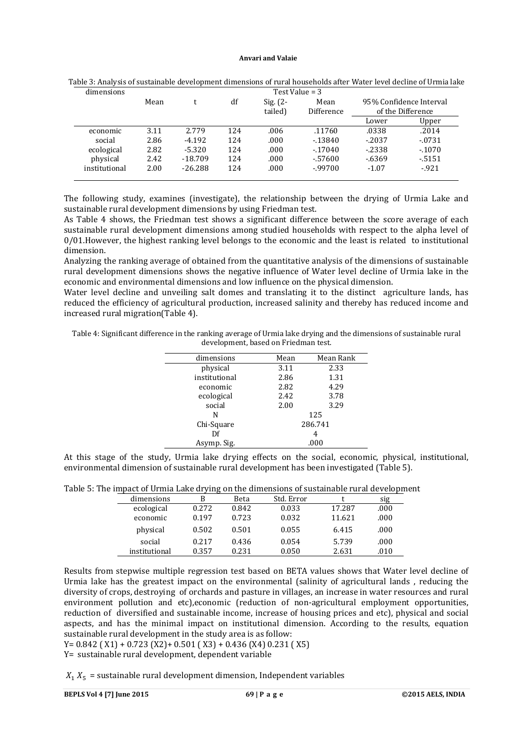| dimensions    | Test Value = $3$ |           |     |                        |                    |                                              |          |
|---------------|------------------|-----------|-----|------------------------|--------------------|----------------------------------------------|----------|
|               | Mean             |           | df  | Sig. $(2 -$<br>tailed) | Mean<br>Difference | 95% Confidence Interval<br>of the Difference |          |
|               |                  |           |     |                        |                    | Lower                                        | Upper    |
| economic      | 3.11             | 2.779     | 124 | .006                   | .11760             | .0338                                        | .2014    |
| social        | 2.86             | $-4.192$  | 124 | .000                   | $-13840$           | $-2037$                                      | $-.0731$ |
| ecological    | 2.82             | $-5.320$  | 124 | .000                   | $-17040$           | $-2338$                                      | $-.1070$ |
| physical      | 2.42             | $-18.709$ | 124 | .000                   | $-57600$           | $-6369$                                      | $-5151$  |
| institutional | 2.00             | $-26.288$ | 124 | .000                   | $-99700$           | $-1.07$                                      | $-921$   |

Table 3: Analysis of sustainable development dimensions of rural households after Water level decline of Urmia lake

The following study, examines (investigate), the relationship between the drying of Urmia Lake and sustainable rural development dimensions by using Friedman test.

As Table 4 shows, the Friedman test shows a significant difference between the score average of each sustainable rural development dimensions among studied households with respect to the alpha level of  $0/01$ . However, the highest ranking level belongs to the economic and the least is related to institutional dimension.

Analyzing the ranking average of obtained from the quantitative analysis of the dimensions of sustainable rural development dimensions shows the negative influence of Water level decline of Urmia lake in the economic and environmental dimensions and low influence on the physical dimension.

Water level decline and unveiling salt domes and translating it to the distinct agriculture lands, has reduced the efficiency of agricultural production, increased salinity and thereby has reduced income and increased rural migration(Table 4).

Table 4: Significant difference in the ranking average of Urmia lake drying and the dimensions of sustainable rural development, based on Friedman test.

| Mean | Mean Rank |
|------|-----------|
| 3.11 | 2.33      |
| 2.86 | 1.31      |
| 2.82 | 4.29      |
| 2.42 | 3.78      |
| 2.00 | 3.29      |
|      | 125       |
|      | 286.741   |
|      | 4         |
|      | .000      |
|      |           |

At this stage of the study, Urmia lake drying effects on the social, economic, physical, institutional, environmental dimension of sustainable rural development has been investigated (Table 5).

|  | Table 5: The impact of Urmia Lake drying on the dimensions of sustainable rural development |  |
|--|---------------------------------------------------------------------------------------------|--|
|--|---------------------------------------------------------------------------------------------|--|

| dimensions    | В     | Beta  | Std. Error |        | sig  |
|---------------|-------|-------|------------|--------|------|
| ecological    | 0.272 | 0.842 | 0.033      | 17.287 | .000 |
| economic      | 0.197 | 0.723 | 0.032      | 11.621 | .000 |
| physical      | 0.502 | 0.501 | 0.055      | 6.415  | .000 |
| social        | 0.217 | 0.436 | 0.054      | 5.739  | .000 |
| institutional | 0.357 | 0.231 | 0.050      | 2.631  | .010 |

Results from stepwise multiple regression test based on BETA values shows that Water level decline of Urmia lake has the greatest impact on the environmental (salinity of agricultural lands , reducing the diversity of crops, destroying of orchards and pasture in villages, an increase in water resources and rural environment pollution and etc),economic (reduction of non-agricultural employment opportunities, reduction of diversified and sustainable income, increase of housing prices and etc), physical and social aspects, and has the minimal impact on institutional dimension. According to the results, equation sustainable rural development in the study area is as follow:

Y= 0.842 ( X1) + 0.723 (X2)+ 0.501 ( X3) + 0.436 (X4) 0.231 ( X5)

Y= sustainable rural development, dependent variable

 $X_1$ ,  $X_5$  = sustainable rural development dimension, Independent variables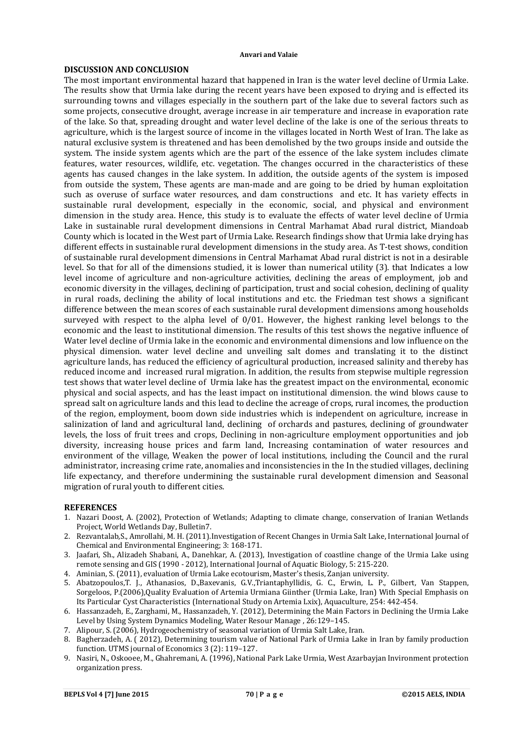### **DISCUSSION AND CONCLUSION**

The most important environmental hazard that happened in Iran is the water level decline of Urmia Lake. The results show that Urmia lake during the recent years have been exposed to drying and is effected its surrounding towns and villages especially in the southern part of the lake due to several factors such as some projects, consecutive drought, average increase in air temperature and increase in evaporation rate of the lake. So that, spreading drought and water level decline of the lake is one of the serious threats to agriculture, which is the largest source of income in the villages located in North West of Iran. The lake as natural exclusive system is threatened and has been demolished by the two groups inside and outside the system. The inside system agents which are the part of the essence of the lake system includes climate features, water resources, wildlife, etc. vegetation. The changes occurred in the characteristics of these agents has caused changes in the lake system. In addition, the outside agents of the system is imposed from outside the system, These agents are man-made and are going to be dried by human exploitation such as overuse of surface water resources, and dam constructions and etc. It has variety effects in sustainable rural development, especially in the economic, social, and physical and environment dimension in the study area. Hence, this study is to evaluate the effects of water level decline of Urmia Lake in sustainable rural development dimensions in Central Marhamat Abad rural district, Miandoab County which is located in the West part of Urmia Lake. Research findings show that Urmia lake drying has different effects in sustainable rural development dimensions in the study area. As T-test shows, condition of sustainable rural development dimensions in Central Marhamat Abad rural district is not in a desirable level. So that for all of the dimensions studied, it is lower than numerical utility (3). that Indicates a low level income of agriculture and non-agriculture activities, declining the areas of employment, job and economic diversity in the villages, declining of participation, trust and social cohesion, declining of quality in rural roads, declining the ability of local institutions and etc. the Friedman test shows a significant difference between the mean scores of each sustainable rural development dimensions among households surveyed with respect to the alpha level of 0/01. However, the highest ranking level belongs to the economic and the least to institutional dimension. The results of this test shows the negative influence of Water level decline of Urmia lake in the economic and environmental dimensions and low influence on the physical dimension. water level decline and unveiling salt domes and translating it to the distinct agriculture lands, has reduced the efficiency of agricultural production, increased salinity and thereby has reduced income and increased rural migration. In addition, the results from stepwise multiple regression test shows that water level decline of Urmia lake has the greatest impact on the environmental, economic physical and social aspects, and has the least impact on institutional dimension. the wind blows cause to spread salt on agriculture lands and this lead to decline the acreage of crops, rural incomes, the production of the region, employment, boom down side industries which is independent on agriculture, increase in salinization of land and agricultural land, declining of orchards and pastures, declining of groundwater levels, the loss of fruit trees and crops, Declining in non-agriculture employment opportunities and job diversity, increasing house prices and farm land, Increasing contamination of water resources and environment of the village, Weaken the power of local institutions, including the Council and the rural administrator, increasing crime rate, anomalies and inconsistencies in the In the studied villages, declining life expectancy, and therefore undermining the sustainable rural development dimension and Seasonal migration of rural youth to different cities.

### **REFERENCES**

- 1. Nazari Doost, A. (2002), Protection of Wetlands; Adapting to climate change, conservation of Iranian Wetlands Project, World Wetlands Day, Bulletin7.
- 2. Rezvantalab,S., Amrollahi, M. H. (2011).Investigation of Recent Changes in Urmia Salt Lake, International Journal of Chemical and Environmental Engineering; 3: 168-171.
- 3. Jaafari, Sh., Alizadeh Shabani, A., Danehkar, A. (2013), Investigation of coastline change of the Urmia Lake using remote sensing and GIS (1990 - 2012), International Journal of Aquatic Biology, 5: 215-220.
- 4. Aminian, S. (2011), evaluation of Urmia Lake ecotourism, Master's thesis, Zanjan university.
- 5. Abatzopoulos,T. J., Athanasios, D.,Baxevanis, G.V.,Triantaphyllidis, G. C., Erwin, L. P., Gilbert, Van Stappen, Sorgeloos, P.(2006),Quality Evaluation of Artemia Urmiana Giinther (Urmia Lake, Iran) With Special Emphasis on Its Particular Cyst Characteristics (International Study on Artemia Lxix), Aquaculture, 254: 442-454.
- 6. Hassanzadeh, E., Zarghami, M., Hassanzadeh, Y. (2012), Determining the Main Factors in Declining the Urmia Lake Level by Using System Dynamics Modeling, Water Resour Manage , 26:129–145.
- 7. Alipour, S. (2006), Hydrogeochemistry of seasonal variation of Urmia Salt Lake, Iran.
- 8. Bagherzadeh, A. ( 2012), Determining tourism value of National Park of Urmia Lake in Iran by family production function. UTMS journal of Economics 3 (2): 119–127.
- 9. Nasiri, N., Oskooee, M., Ghahremani, A. (1996), National Park Lake Urmia, West Azarbayjan Invironment protection organization press.